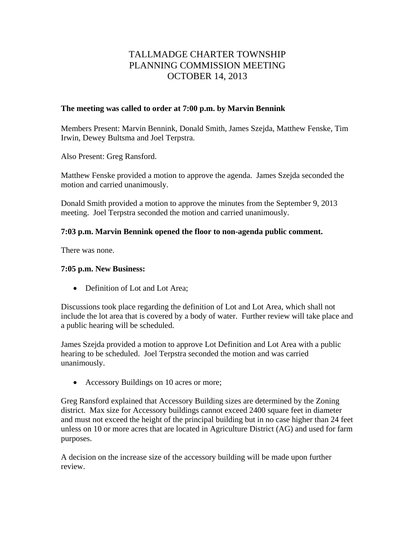# TALLMADGE CHARTER TOWNSHIP PLANNING COMMISSION MEETING OCTOBER 14, 2013

#### **The meeting was called to order at 7:00 p.m. by Marvin Bennink**

Members Present: Marvin Bennink, Donald Smith, James Szejda, Matthew Fenske, Tim Irwin, Dewey Bultsma and Joel Terpstra.

Also Present: Greg Ransford.

Matthew Fenske provided a motion to approve the agenda. James Szejda seconded the motion and carried unanimously.

Donald Smith provided a motion to approve the minutes from the September 9, 2013 meeting. Joel Terpstra seconded the motion and carried unanimously.

## **7:03 p.m. Marvin Bennink opened the floor to non-agenda public comment.**

There was none.

### **7:05 p.m. New Business:**

• Definition of Lot and Lot Area:

Discussions took place regarding the definition of Lot and Lot Area, which shall not include the lot area that is covered by a body of water. Further review will take place and a public hearing will be scheduled.

James Szejda provided a motion to approve Lot Definition and Lot Area with a public hearing to be scheduled. Joel Terpstra seconded the motion and was carried unanimously.

• Accessory Buildings on 10 acres or more;

Greg Ransford explained that Accessory Building sizes are determined by the Zoning district. Max size for Accessory buildings cannot exceed 2400 square feet in diameter and must not exceed the height of the principal building but in no case higher than 24 feet unless on 10 or more acres that are located in Agriculture District (AG) and used for farm purposes.

A decision on the increase size of the accessory building will be made upon further review.